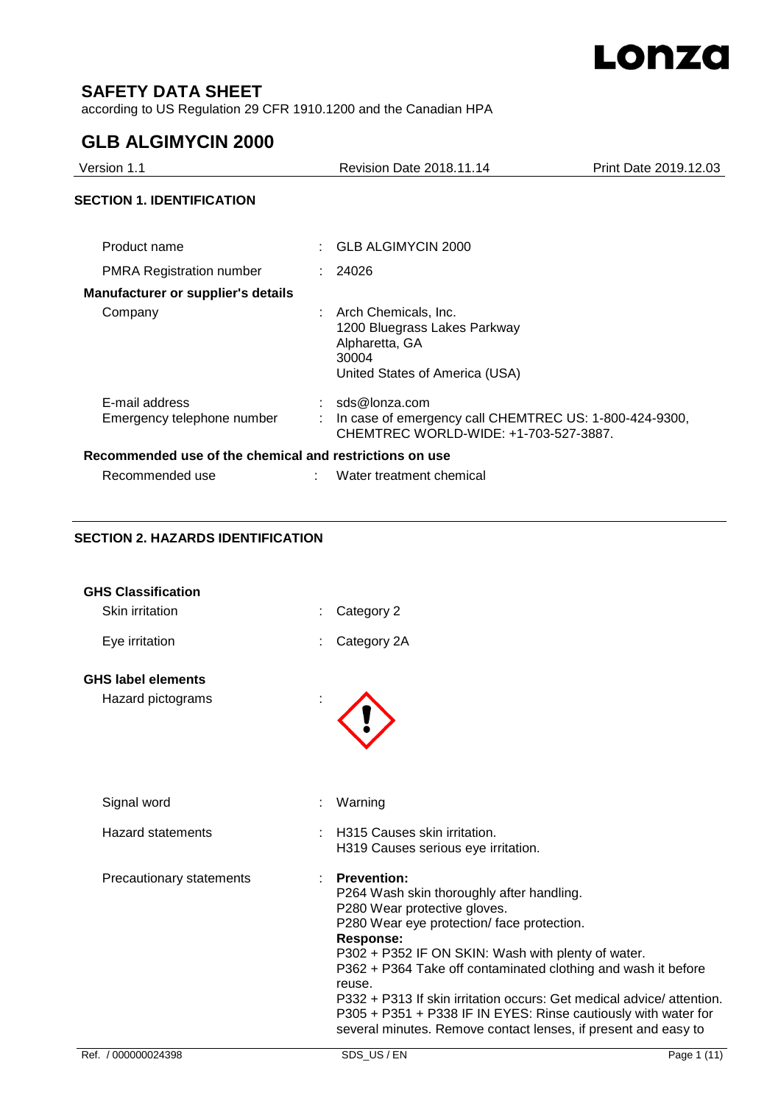

### **SAFETY DATA SHEET**

according to US Regulation 29 CFR 1910.1200 and the Canadian HPA

## **GLB ALGIMYCIN 2000**

| Version 1.1                                             | <b>Revision Date 2018.11.14</b>                                                                                   | Print Date 2019.12.03 |
|---------------------------------------------------------|-------------------------------------------------------------------------------------------------------------------|-----------------------|
| <b>SECTION 1. IDENTIFICATION</b>                        |                                                                                                                   |                       |
| Product name                                            | GLB ALGIMYCIN 2000                                                                                                |                       |
| <b>PMRA Registration number</b>                         | : 24026                                                                                                           |                       |
| <b>Manufacturer or supplier's details</b>               |                                                                                                                   |                       |
| Company                                                 | Arch Chemicals, Inc.<br>1200 Bluegrass Lakes Parkway<br>Alpharetta, GA<br>30004<br>United States of America (USA) |                       |
| E-mail address<br>Emergency telephone number            | sds@lonza.com<br>In case of emergency call CHEMTREC US: 1-800-424-9300,<br>CHEMTREC WORLD-WIDE: +1-703-527-3887.  |                       |
| Recommended use of the chemical and restrictions on use |                                                                                                                   |                       |
| Recommended use                                         | Water treatment chemical                                                                                          |                       |
|                                                         |                                                                                                                   |                       |

#### **SECTION 2. HAZARDS IDENTIFICATION**

| Ref. / 000000024398                            | SDS US/EN<br>Page 1 (11)                                                                                                                                                                                                                                                                                                                  |
|------------------------------------------------|-------------------------------------------------------------------------------------------------------------------------------------------------------------------------------------------------------------------------------------------------------------------------------------------------------------------------------------------|
|                                                | P302 + P352 IF ON SKIN: Wash with plenty of water.<br>P362 + P364 Take off contaminated clothing and wash it before<br>reuse.<br>P332 + P313 If skin irritation occurs: Get medical advice/attention.<br>P305 + P351 + P338 IF IN EYES: Rinse cautiously with water for<br>several minutes. Remove contact lenses, if present and easy to |
| Precautionary statements                       | <b>Prevention:</b><br>P264 Wash skin thoroughly after handling.<br>P280 Wear protective gloves.<br>P280 Wear eye protection/face protection.<br><b>Response:</b>                                                                                                                                                                          |
| <b>Hazard statements</b>                       | H315 Causes skin irritation.<br>H319 Causes serious eye irritation.                                                                                                                                                                                                                                                                       |
| Signal word                                    | Warning                                                                                                                                                                                                                                                                                                                                   |
| <b>GHS label elements</b><br>Hazard pictograms |                                                                                                                                                                                                                                                                                                                                           |
| Eye irritation                                 | Category 2A                                                                                                                                                                                                                                                                                                                               |
| Skin irritation                                | Category 2                                                                                                                                                                                                                                                                                                                                |
| <b>GHS Classification</b>                      |                                                                                                                                                                                                                                                                                                                                           |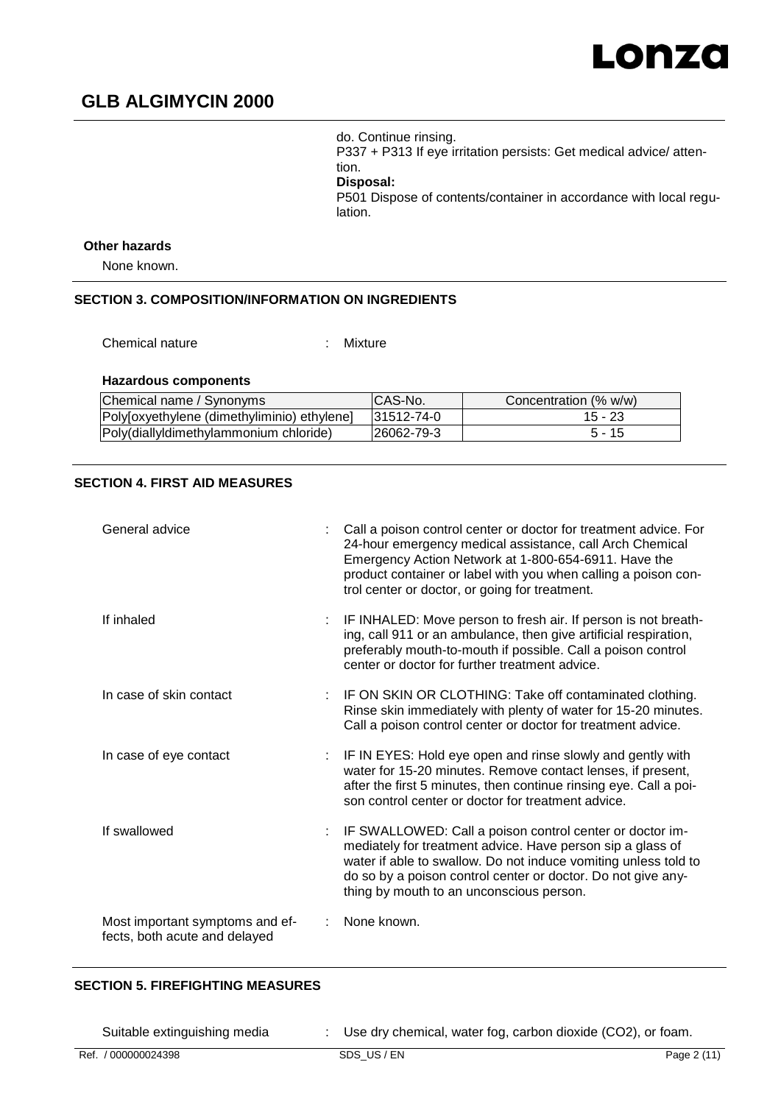# Lonza

# **GLB ALGIMYCIN 2000**

do. Continue rinsing. P337 + P313 If eye irritation persists: Get medical advice/ attention. **Disposal:** 

P501 Dispose of contents/container in accordance with local regulation.

#### **Other hazards**

None known.

#### **SECTION 3. COMPOSITION/INFORMATION ON INGREDIENTS**

Chemical nature : Mixture

#### **Hazardous components**

| Chemical name / Synonyms                    | ICAS-No.    | Concentration (% w/w) |
|---------------------------------------------|-------------|-----------------------|
| Polyloxyethylene (dimethyliminio) ethylene] | 131512-74-0 | $15 - 23$             |
| Poly(diallyldimethylammonium chloride)      | l26062-79-3 | 5 - 15                |

#### **SECTION 4. FIRST AID MEASURES**

| General advice                                                   | Call a poison control center or doctor for treatment advice. For<br>24-hour emergency medical assistance, call Arch Chemical<br>Emergency Action Network at 1-800-654-6911. Have the<br>product container or label with you when calling a poison con-<br>trol center or doctor, or going for treatment. |
|------------------------------------------------------------------|----------------------------------------------------------------------------------------------------------------------------------------------------------------------------------------------------------------------------------------------------------------------------------------------------------|
| If inhaled                                                       | IF INHALED: Move person to fresh air. If person is not breath-<br>ing, call 911 or an ambulance, then give artificial respiration,<br>preferably mouth-to-mouth if possible. Call a poison control<br>center or doctor for further treatment advice.                                                     |
| In case of skin contact                                          | IF ON SKIN OR CLOTHING: Take off contaminated clothing.<br>Rinse skin immediately with plenty of water for 15-20 minutes.<br>Call a poison control center or doctor for treatment advice.                                                                                                                |
| In case of eye contact                                           | IF IN EYES: Hold eye open and rinse slowly and gently with<br>water for 15-20 minutes. Remove contact lenses, if present,<br>after the first 5 minutes, then continue rinsing eye. Call a poi-<br>son control center or doctor for treatment advice.                                                     |
| If swallowed                                                     | IF SWALLOWED: Call a poison control center or doctor im-<br>mediately for treatment advice. Have person sip a glass of<br>water if able to swallow. Do not induce vomiting unless told to<br>do so by a poison control center or doctor. Do not give any-<br>thing by mouth to an unconscious person.    |
| Most important symptoms and ef-<br>fects, both acute and delayed | None known.                                                                                                                                                                                                                                                                                              |

#### **SECTION 5. FIREFIGHTING MEASURES**

Suitable extinguishing media : Use dry chemical, water fog, carbon dioxide (CO2), or foam.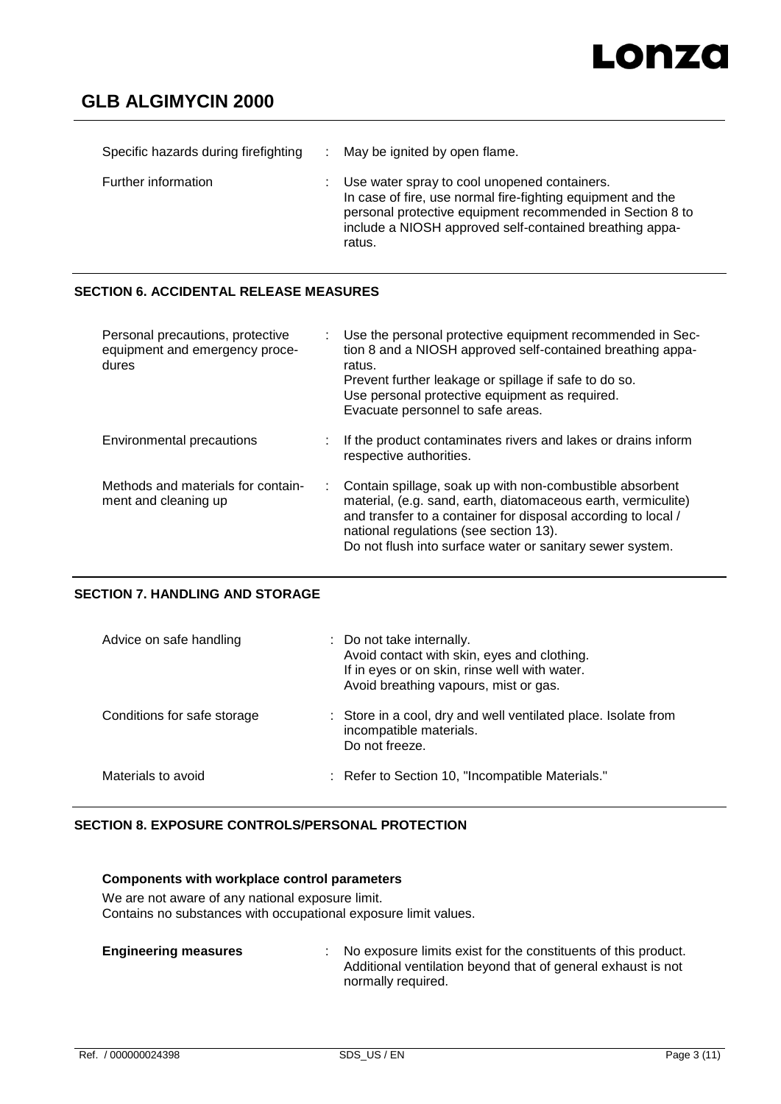| Specific hazards during firefighting | May be ignited by open flame.                                                                                                                                                                                                                 |
|--------------------------------------|-----------------------------------------------------------------------------------------------------------------------------------------------------------------------------------------------------------------------------------------------|
| Further information                  | Use water spray to cool unopened containers.<br>In case of fire, use normal fire-fighting equipment and the<br>personal protective equipment recommended in Section 8 to<br>include a NIOSH approved self-contained breathing appa-<br>ratus. |

#### **SECTION 6. ACCIDENTAL RELEASE MEASURES**

| Personal precautions, protective<br>equipment and emergency proce-<br>dures | Use the personal protective equipment recommended in Sec-<br>tion 8 and a NIOSH approved self-contained breathing appa-<br>ratus.<br>Prevent further leakage or spillage if safe to do so.<br>Use personal protective equipment as required.<br>Evacuate personnel to safe areas.                 |
|-----------------------------------------------------------------------------|---------------------------------------------------------------------------------------------------------------------------------------------------------------------------------------------------------------------------------------------------------------------------------------------------|
| Environmental precautions                                                   | If the product contaminates rivers and lakes or drains inform<br>respective authorities.                                                                                                                                                                                                          |
| Methods and materials for contain-<br>ment and cleaning up                  | Contain spillage, soak up with non-combustible absorbent<br>material, (e.g. sand, earth, diatomaceous earth, vermiculite)<br>and transfer to a container for disposal according to local /<br>national regulations (see section 13).<br>Do not flush into surface water or sanitary sewer system. |

#### **SECTION 7. HANDLING AND STORAGE**

| Advice on safe handling     | : Do not take internally.<br>Avoid contact with skin, eyes and clothing.<br>If in eyes or on skin, rinse well with water.<br>Avoid breathing vapours, mist or gas. |
|-----------------------------|--------------------------------------------------------------------------------------------------------------------------------------------------------------------|
| Conditions for safe storage | : Store in a cool, dry and well ventilated place. Isolate from<br>incompatible materials.<br>Do not freeze.                                                        |
| Materials to avoid          | : Refer to Section 10, "Incompatible Materials."                                                                                                                   |

#### **SECTION 8. EXPOSURE CONTROLS/PERSONAL PROTECTION**

#### **Components with workplace control parameters**

We are not aware of any national exposure limit. Contains no substances with occupational exposure limit values.

| <b>Engineering measures</b> | No exposure limits exist for the constituents of this product. |
|-----------------------------|----------------------------------------------------------------|
|                             | Additional ventilation beyond that of general exhaust is not   |
|                             | normally required.                                             |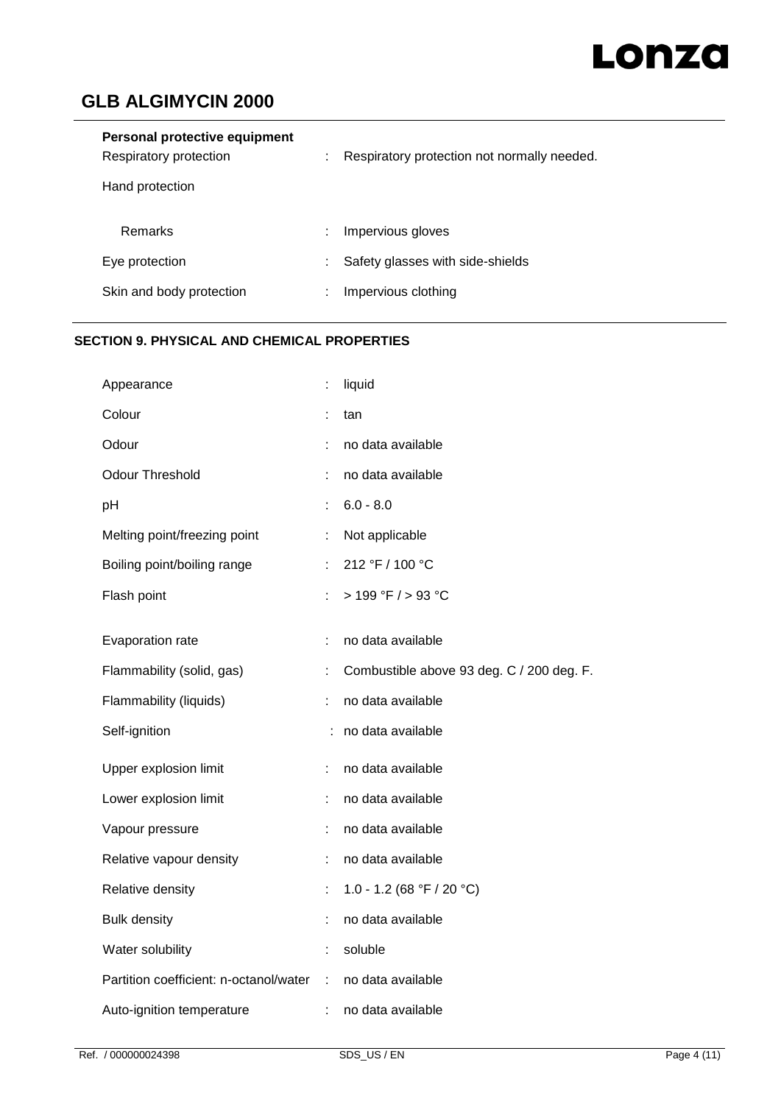# Lonza

# **GLB ALGIMYCIN 2000**

| Personal protective equipment<br>Respiratory protection | ٠ | Respiratory protection not normally needed. |
|---------------------------------------------------------|---|---------------------------------------------|
| Hand protection                                         |   |                                             |
| <b>Remarks</b>                                          | ٠ | Impervious gloves                           |
| Eye protection                                          | ٠ | Safety glasses with side-shields            |
| Skin and body protection                                |   | Impervious clothing                         |

### **SECTION 9. PHYSICAL AND CHEMICAL PROPERTIES**

| Appearance                             |   | liquid                                    |
|----------------------------------------|---|-------------------------------------------|
| Colour                                 |   | tan                                       |
| Odour                                  |   | no data available                         |
| <b>Odour Threshold</b>                 |   | no data available                         |
| pH                                     |   | $6.0 - 8.0$                               |
| Melting point/freezing point           | ÷ | Not applicable                            |
| Boiling point/boiling range            |   | 212 °F / 100 °C                           |
| Flash point                            | ÷ | > 199 °F / > 93 °C                        |
| Evaporation rate                       | t | no data available                         |
| Flammability (solid, gas)              | ÷ | Combustible above 93 deg. C / 200 deg. F. |
| Flammability (liquids)                 | ÷ | no data available                         |
| Self-ignition                          |   | no data available                         |
| Upper explosion limit                  | t | no data available                         |
| Lower explosion limit                  |   | no data available                         |
| Vapour pressure                        | t | no data available                         |
| Relative vapour density                |   | no data available                         |
| Relative density                       | t | 1.0 - 1.2 (68 °F / 20 °C)                 |
| <b>Bulk density</b>                    |   | no data available                         |
| Water solubility                       | ÷ | soluble                                   |
| Partition coefficient: n-octanol/water | ÷ | no data available                         |
| Auto-ignition temperature              | t | no data available                         |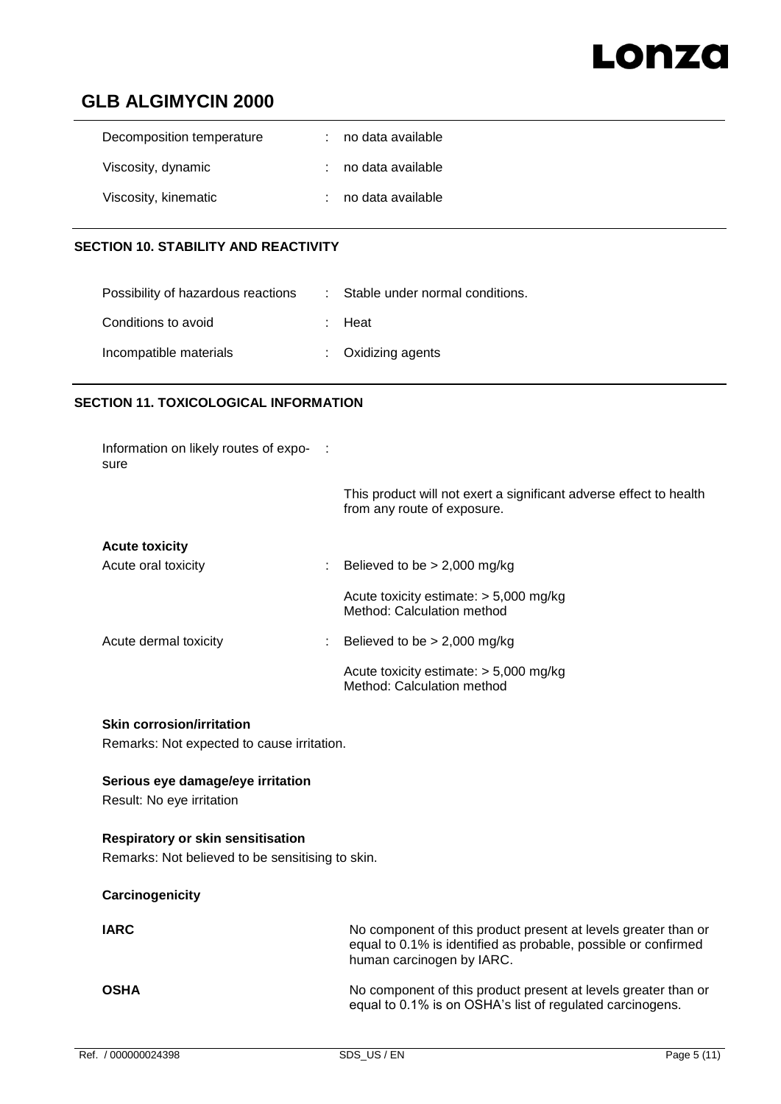# Lonza

## **GLB ALGIMYCIN 2000**

| Decomposition temperature | no data available   |
|---------------------------|---------------------|
| Viscosity, dynamic        | : no data available |
| Viscosity, kinematic      | no data available   |

#### **SECTION 10. STABILITY AND REACTIVITY**

| Possibility of hazardous reactions | : Stable under normal conditions. |
|------------------------------------|-----------------------------------|
| Conditions to avoid                | : Heat                            |
| Incompatible materials             | $:$ Oxidizing agents              |

#### **SECTION 11. TOXICOLOGICAL INFORMATION**

| Information on likely routes of expo- :<br>sure |                                                                                                   |
|-------------------------------------------------|---------------------------------------------------------------------------------------------------|
|                                                 | This product will not exert a significant adverse effect to health<br>from any route of exposure. |
| <b>Acute toxicity</b>                           |                                                                                                   |
| Acute oral toxicity                             | Believed to be $> 2,000$ mg/kg                                                                    |
|                                                 | Acute toxicity estimate: $> 5,000$ mg/kg<br>Method: Calculation method                            |
| Acute dermal toxicity                           | Believed to be $> 2,000$ mg/kg                                                                    |
|                                                 | Acute toxicity estimate: $> 5,000$ mg/kg<br>Method: Calculation method                            |

#### **Skin corrosion/irritation**

Remarks: Not expected to cause irritation.

#### **Serious eye damage/eye irritation**

Result: No eye irritation

#### **Respiratory or skin sensitisation**

Remarks: Not believed to be sensitising to skin.

#### **Carcinogenicity**

| <b>IARC</b> | No component of this product present at levels greater than or<br>equal to 0.1% is identified as probable, possible or confirmed<br>human carcinogen by IARC. |
|-------------|---------------------------------------------------------------------------------------------------------------------------------------------------------------|
| <b>OSHA</b> | No component of this product present at levels greater than or<br>equal to 0.1% is on OSHA's list of regulated carcinogens.                                   |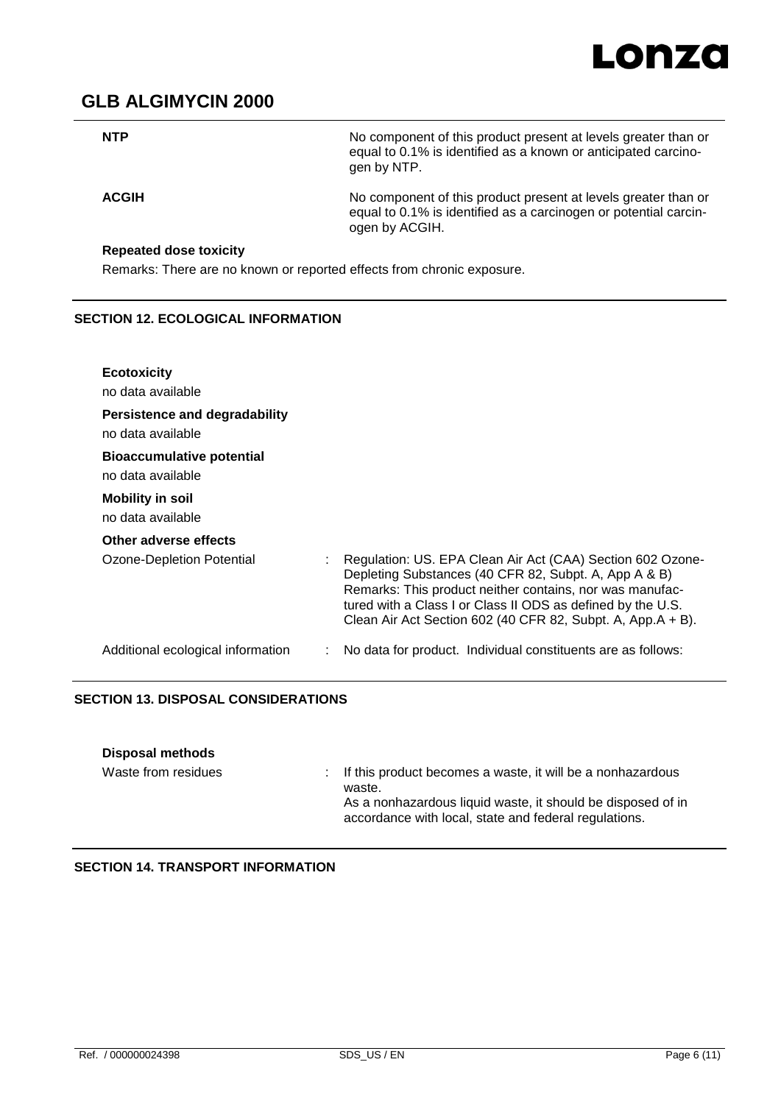

No component of this product present at levels greater than or equal to 0.1% is identified as a known or anticipated carcinogen by NTP.

**ACGIH** No component of this product present at levels greater than or equal to 0.1% is identified as a carcinogen or potential carcinogen by ACGIH.

#### **Repeated dose toxicity**

Remarks: There are no known or reported effects from chronic exposure.

#### **SECTION 12. ECOLOGICAL INFORMATION**

| <b>Ecotoxicity</b><br>no data available               |                                                                                                                                                                                                                                                                                                               |
|-------------------------------------------------------|---------------------------------------------------------------------------------------------------------------------------------------------------------------------------------------------------------------------------------------------------------------------------------------------------------------|
| Persistence and degradability<br>no data available    |                                                                                                                                                                                                                                                                                                               |
| <b>Bioaccumulative potential</b><br>no data available |                                                                                                                                                                                                                                                                                                               |
| <b>Mobility in soil</b><br>no data available          |                                                                                                                                                                                                                                                                                                               |
| Other adverse effects                                 |                                                                                                                                                                                                                                                                                                               |
| Ozone-Depletion Potential                             | Regulation: US. EPA Clean Air Act (CAA) Section 602 Ozone-<br>Depleting Substances (40 CFR 82, Subpt. A, App A & B)<br>Remarks: This product neither contains, nor was manufac-<br>tured with a Class I or Class II ODS as defined by the U.S.<br>Clean Air Act Section 602 (40 CFR 82, Subpt. A, App.A + B). |
| Additional ecological information                     | No data for product. Individual constituents are as follows:                                                                                                                                                                                                                                                  |

#### **SECTION 13. DISPOSAL CONSIDERATIONS**

| <b>Disposal methods</b> |                                                                                                                                                                                                |
|-------------------------|------------------------------------------------------------------------------------------------------------------------------------------------------------------------------------------------|
| Waste from residues     | : If this product becomes a waste, it will be a nonhazardous<br>waste.<br>As a nonhazardous liquid waste, it should be disposed of in<br>accordance with local, state and federal regulations. |

**SECTION 14. TRANSPORT INFORMATION**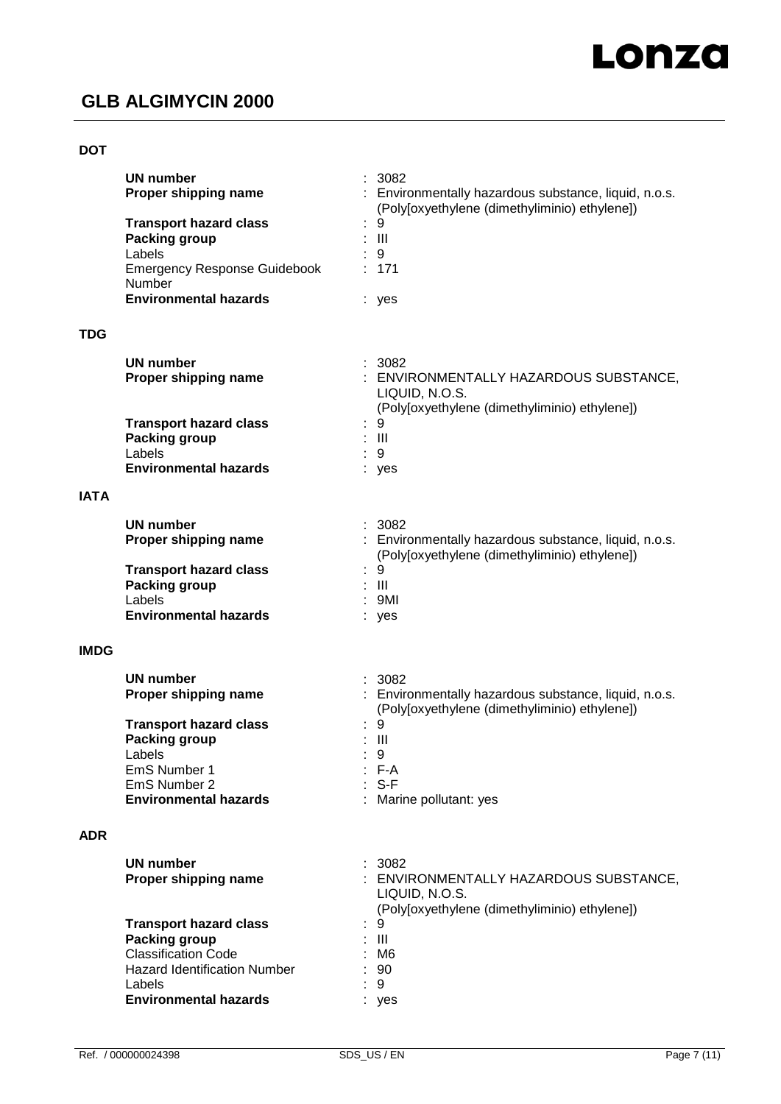#### **DOT**

|             | <b>UN number</b><br>Proper shipping name                                                                                                                      | 3082<br>: Environmentally hazardous substance, liquid, n.o.s.<br>(Poly[oxyethylene (dimethyliminio) ethylene])    |
|-------------|---------------------------------------------------------------------------------------------------------------------------------------------------------------|-------------------------------------------------------------------------------------------------------------------|
|             | <b>Transport hazard class</b><br><b>Packing group</b><br>Labels<br><b>Emergency Response Guidebook</b><br>Number                                              | 9<br>Ш<br>9<br>171                                                                                                |
|             | <b>Environmental hazards</b>                                                                                                                                  | : yes                                                                                                             |
| <b>TDG</b>  |                                                                                                                                                               |                                                                                                                   |
|             | <b>UN number</b><br>Proper shipping name                                                                                                                      | 3082<br>: ENVIRONMENTALLY HAZARDOUS SUBSTANCE,<br>LIQUID, N.O.S.<br>(Poly[oxyethylene (dimethyliminio) ethylene]) |
|             | <b>Transport hazard class</b><br><b>Packing group</b><br>Labels<br><b>Environmental hazards</b>                                                               | 9<br>$\mathbf{III}$<br>9<br>yes                                                                                   |
| <b>IATA</b> |                                                                                                                                                               |                                                                                                                   |
|             | <b>UN number</b><br>Proper shipping name                                                                                                                      | : 3082<br>: Environmentally hazardous substance, liquid, n.o.s.<br>(Poly[oxyethylene (dimethyliminio) ethylene])  |
|             | <b>Transport hazard class</b><br><b>Packing group</b><br>Labels<br><b>Environmental hazards</b>                                                               | 9<br>Ш<br>9MI<br>: yes                                                                                            |
| <b>IMDG</b> |                                                                                                                                                               |                                                                                                                   |
|             | UN number<br>Proper shipping name                                                                                                                             | : 3082<br>: Environmentally hazardous substance, liquid, n.o.s.<br>(Poly[oxyethylene (dimethyliminio) ethylene])  |
|             | <b>Transport hazard class</b><br><b>Packing group</b><br>Labels<br>EmS Number 1                                                                               | 9<br>$\mathbf{III}$<br>$\therefore$ 9<br>: F-A                                                                    |
|             | EmS Number 2<br><b>Environmental hazards</b>                                                                                                                  | $: S-F$<br>: Marine pollutant: yes                                                                                |
| <b>ADR</b>  |                                                                                                                                                               |                                                                                                                   |
|             | <b>UN number</b><br>Proper shipping name                                                                                                                      | 3082<br>: ENVIRONMENTALLY HAZARDOUS SUBSTANCE,<br>LIQUID, N.O.S.<br>(Poly[oxyethylene (dimethyliminio) ethylene]) |
|             | <b>Transport hazard class</b><br>Packing group<br><b>Classification Code</b><br><b>Hazard Identification Number</b><br>Labels<br><b>Environmental hazards</b> | 9<br>$\mathop{\mathrm{III}}\nolimits$<br>M <sub>6</sub><br>90<br>9<br>yes                                         |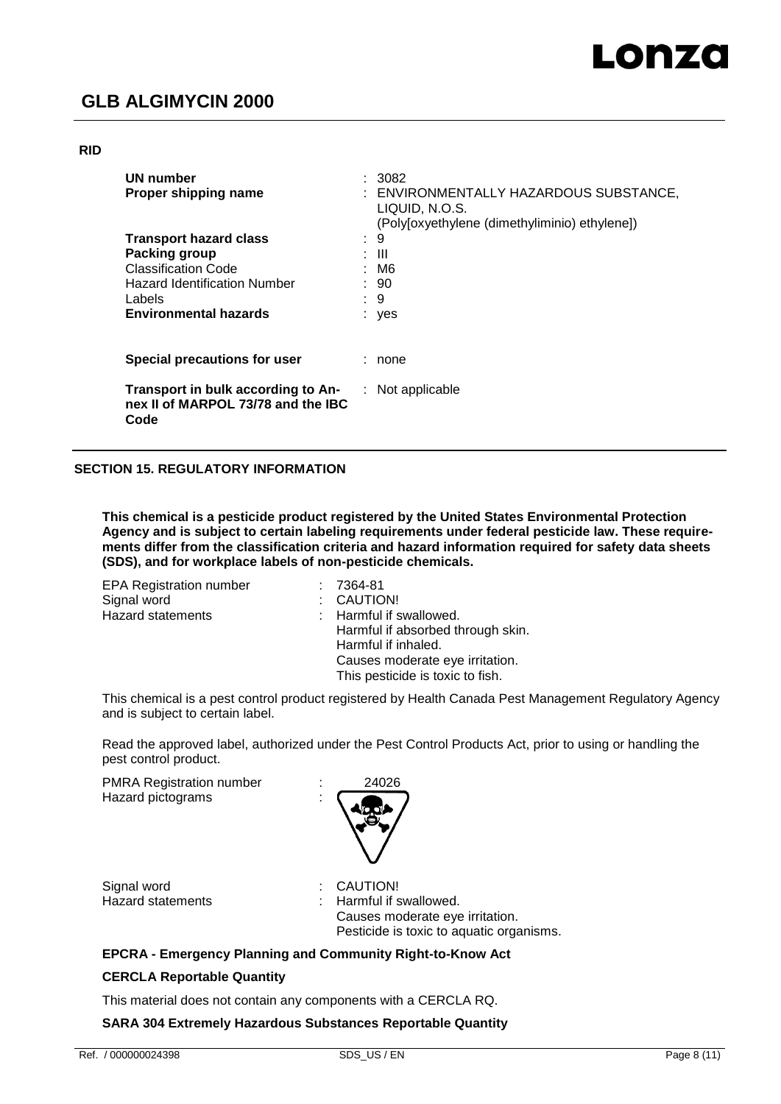#### **RID**

| UN number<br>Proper shipping name                                                |   | : 3082<br>: ENVIRONMENTALLY HAZARDOUS SUBSTANCE,<br>LIQUID, N.O.S.<br>(Poly[oxyethylene (dimethyliminio) ethylene]) |
|----------------------------------------------------------------------------------|---|---------------------------------------------------------------------------------------------------------------------|
| <b>Transport hazard class</b>                                                    | ÷ | 9                                                                                                                   |
| <b>Packing group</b>                                                             |   | : III                                                                                                               |
| <b>Classification Code</b>                                                       |   | : M6                                                                                                                |
| <b>Hazard Identification Number</b>                                              |   | : 90                                                                                                                |
| Labels                                                                           |   | $\therefore$ 9                                                                                                      |
| <b>Environmental hazards</b>                                                     |   | : yes                                                                                                               |
| Special precautions for user                                                     |   | : none                                                                                                              |
| Transport in bulk according to An-<br>nex II of MARPOL 73/78 and the IBC<br>Code |   | $:$ Not applicable                                                                                                  |

#### **SECTION 15. REGULATORY INFORMATION**

**This chemical is a pesticide product registered by the United States Environmental Protection Agency and is subject to certain labeling requirements under federal pesticide law. These requirements differ from the classification criteria and hazard information required for safety data sheets (SDS), and for workplace labels of non-pesticide chemicals.**

| <b>EPA Registration number</b> | 7364-81                           |
|--------------------------------|-----------------------------------|
| Signal word                    | : CAUTION!                        |
| Hazard statements              | : Harmful if swallowed.           |
|                                | Harmful if absorbed through skin. |
|                                | Harmful if inhaled.               |
|                                | Causes moderate eye irritation.   |
|                                | This pesticide is toxic to fish.  |
|                                |                                   |

This chemical is a pest control product registered by Health Canada Pest Management Regulatory Agency and is subject to certain label.

Read the approved label, authorized under the Pest Control Products Act, prior to using or handling the pest control product.

PMRA Registration number : 24026 Hazard pictograms :



Signal word<br>
Hazard statements<br>
Hazard statements<br>
i Harmful if s

Harmful if swallowed. Causes moderate eye irritation. Pesticide is toxic to aquatic organisms.

#### **EPCRA - Emergency Planning and Community Right-to-Know Act**

#### **CERCLA Reportable Quantity**

This material does not contain any components with a CERCLA RQ.

**SARA 304 Extremely Hazardous Substances Reportable Quantity**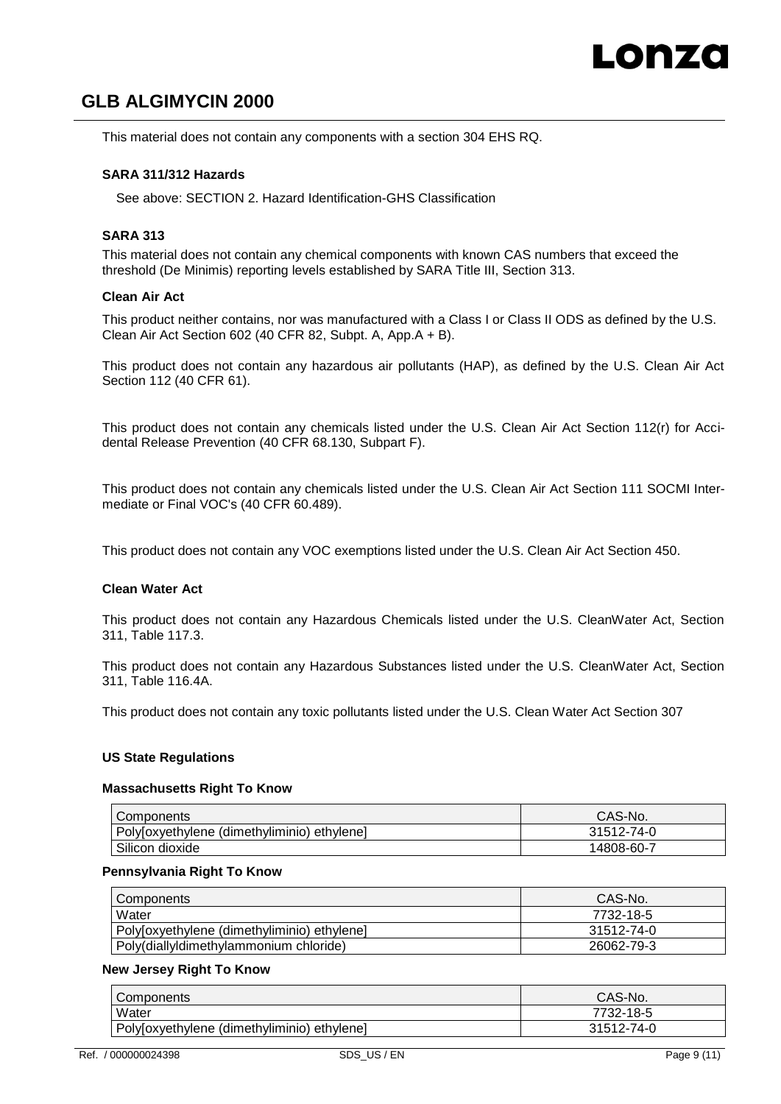This material does not contain any components with a section 304 EHS RQ.

#### **SARA 311/312 Hazards**

See above: SECTION 2. Hazard Identification-GHS Classification

#### **SARA 313**

This material does not contain any chemical components with known CAS numbers that exceed the threshold (De Minimis) reporting levels established by SARA Title III, Section 313.

#### **Clean Air Act**

This product neither contains, nor was manufactured with a Class I or Class II ODS as defined by the U.S. Clean Air Act Section 602 (40 CFR 82, Subpt. A, App.A + B).

This product does not contain any hazardous air pollutants (HAP), as defined by the U.S. Clean Air Act Section 112 (40 CFR 61).

This product does not contain any chemicals listed under the U.S. Clean Air Act Section 112(r) for Accidental Release Prevention (40 CFR 68.130, Subpart F).

This product does not contain any chemicals listed under the U.S. Clean Air Act Section 111 SOCMI Intermediate or Final VOC's (40 CFR 60.489).

This product does not contain any VOC exemptions listed under the U.S. Clean Air Act Section 450.

#### **Clean Water Act**

This product does not contain any Hazardous Chemicals listed under the U.S. CleanWater Act, Section 311, Table 117.3.

This product does not contain any Hazardous Substances listed under the U.S. CleanWater Act, Section 311, Table 116.4A.

This product does not contain any toxic pollutants listed under the U.S. Clean Water Act Section 307

#### **US State Regulations**

#### **Massachusetts Right To Know**

| I Components                                | CAS-No.    |
|---------------------------------------------|------------|
| Poly[oxyethylene (dimethyliminio) ethylene] | 31512-74-0 |
| Silicon dioxide                             | 14808-60-7 |

#### **Pennsylvania Right To Know**

| Components                                  | CAS-No.    |
|---------------------------------------------|------------|
| Water                                       | 7732-18-5  |
| Poly[oxyethylene (dimethyliminio) ethylene] | 31512-74-0 |
| Poly(diallyldimethylammonium chloride)      | 26062-79-3 |

#### **New Jersey Right To Know**

| Components                                  | CAS-No.    |
|---------------------------------------------|------------|
| Water                                       | 7732-18-5  |
| Poly[oxyethylene (dimethyliminio) ethylene] | 31512-74-0 |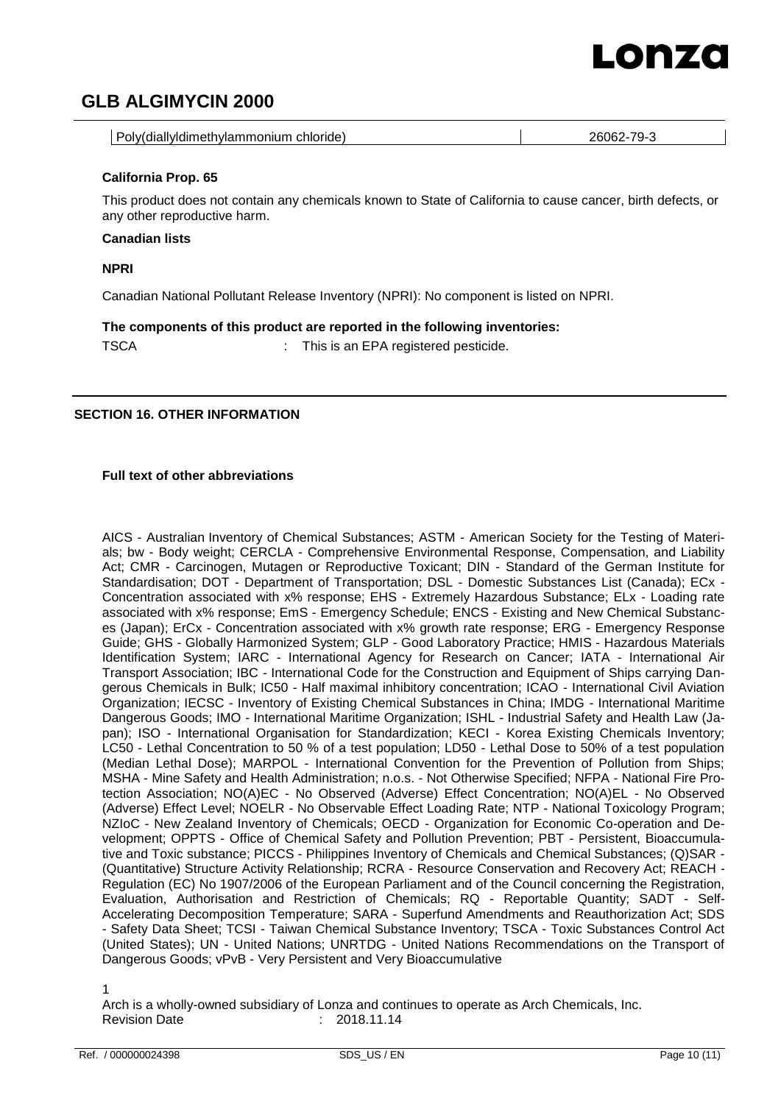# LONZO

### **GLB ALGIMYCIN 2000**

| Poly(diallyldimethylammonium chloride)<br>26062-79-3 |
|------------------------------------------------------|
|------------------------------------------------------|

#### **California Prop. 65**

This product does not contain any chemicals known to State of California to cause cancer, birth defects, or any other reproductive harm.

#### **Canadian lists**

**NPRI**

Canadian National Pollutant Release Inventory (NPRI): No component is listed on NPRI.

**The components of this product are reported in the following inventories:**

TSCA : This is an EPA registered pesticide.

#### **SECTION 16. OTHER INFORMATION**

#### **Full text of other abbreviations**

AICS - Australian Inventory of Chemical Substances; ASTM - American Society for the Testing of Materials; bw - Body weight; CERCLA - Comprehensive Environmental Response, Compensation, and Liability Act; CMR - Carcinogen, Mutagen or Reproductive Toxicant; DIN - Standard of the German Institute for Standardisation; DOT - Department of Transportation; DSL - Domestic Substances List (Canada); ECx -Concentration associated with x% response; EHS - Extremely Hazardous Substance; ELx - Loading rate associated with x% response; EmS - Emergency Schedule; ENCS - Existing and New Chemical Substances (Japan); ErCx - Concentration associated with x% growth rate response; ERG - Emergency Response Guide; GHS - Globally Harmonized System; GLP - Good Laboratory Practice; HMIS - Hazardous Materials Identification System; IARC - International Agency for Research on Cancer; IATA - International Air Transport Association; IBC - International Code for the Construction and Equipment of Ships carrying Dangerous Chemicals in Bulk; IC50 - Half maximal inhibitory concentration; ICAO - International Civil Aviation Organization; IECSC - Inventory of Existing Chemical Substances in China; IMDG - International Maritime Dangerous Goods; IMO - International Maritime Organization; ISHL - Industrial Safety and Health Law (Japan); ISO - International Organisation for Standardization; KECI - Korea Existing Chemicals Inventory; LC50 - Lethal Concentration to 50 % of a test population; LD50 - Lethal Dose to 50% of a test population (Median Lethal Dose); MARPOL - International Convention for the Prevention of Pollution from Ships; MSHA - Mine Safety and Health Administration; n.o.s. - Not Otherwise Specified; NFPA - National Fire Protection Association; NO(A)EC - No Observed (Adverse) Effect Concentration; NO(A)EL - No Observed (Adverse) Effect Level; NOELR - No Observable Effect Loading Rate; NTP - National Toxicology Program; NZIoC - New Zealand Inventory of Chemicals; OECD - Organization for Economic Co-operation and Development; OPPTS - Office of Chemical Safety and Pollution Prevention; PBT - Persistent, Bioaccumulative and Toxic substance; PICCS - Philippines Inventory of Chemicals and Chemical Substances; (Q)SAR - (Quantitative) Structure Activity Relationship; RCRA - Resource Conservation and Recovery Act; REACH - Regulation (EC) No 1907/2006 of the European Parliament and of the Council concerning the Registration, Evaluation, Authorisation and Restriction of Chemicals; RQ - Reportable Quantity; SADT - Self-Accelerating Decomposition Temperature; SARA - Superfund Amendments and Reauthorization Act; SDS - Safety Data Sheet; TCSI - Taiwan Chemical Substance Inventory; TSCA - Toxic Substances Control Act (United States); UN - United Nations; UNRTDG - United Nations Recommendations on the Transport of Dangerous Goods; vPvB - Very Persistent and Very Bioaccumulative

1

Arch is a wholly-owned subsidiary of Lonza and continues to operate as Arch Chemicals, Inc. Revision Date : 2018.11.14